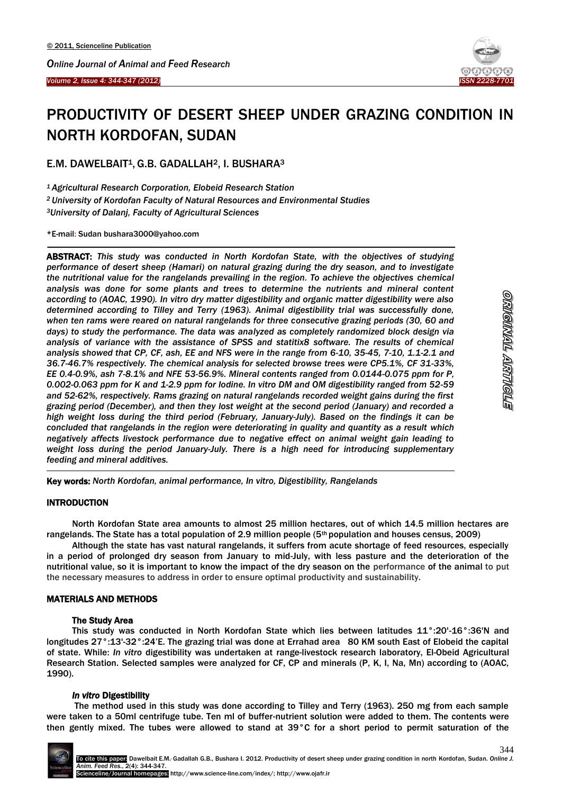



# PRODUCTIVITY OF DESERT SHEEP UNDER GRAZING CONDITION IN NORTH KORDOFAN, SUDAN

E.M. DAWELBAIT<sup>1</sup>, G.B. GADALLAH<sup>2</sup>, I. BUSHARA<sup>3</sup>

*<sup>1</sup>Agricultural Research Corporation, Elobeid Research Station <sup>2</sup>University of Kordofan Faculty of Natural Resources and Environmental Studies <sup>3</sup>University of Dalanj, Faculty of Agricultural Sciences*

\*E-mail: Sudan [bushara3000@yahoo.com](mailto:bushara3000@yahoo.com)

 $\overline{a}$ 

ABSTRACT: *This study was conducted in North Kordofan State, with the objectives of studying performance of desert sheep (Hamari) on natural grazing during the dry season, and to investigate the nutritional value for the rangelands prevailing in the region. To achieve the objectives chemical analysis was done for some plants and trees to determine the nutrients and mineral content according to (AOAC, 1990). In vitro dry matter digestibility and organic matter digestibility were also determined according to Tilley and Terry (1963). Animal digestibility trial was successfully done, when ten rams were reared on natural rangelands for three consecutive grazing periods (30, 60 and days) to study the performance. The data was analyzed as completely randomized block design via analysis of variance with the assistance of SPSS and statitix8 software. The results of chemical analysis showed that CP, CF, ash, EE and NFS were in the range from 6-10, 35-45, 7-10, 1.1-2.1 and 36.7-46.7% respectively. The chemical analysis for selected browse trees were CP5.1%, CF 31-33%, EE 0.4-0.9%, ash 7-8.1% and NFE 53-56.9%. Mineral contents ranged from 0.0144-0.075 ppm for P, 0.002-0.063 ppm for K and 1-2.9 ppm for Iodine. In vitro DM and OM digestibility ranged from 52-59 and 52-62%, respectively. Rams grazing on natural rangelands recorded weight gains during the first grazing period (December), and then they lost weight at the second period (January) and recorded a high weight loss during the third period (February, January-July). Based on the findings it can be concluded that rangelands in the region were deteriorating in quality and quantity as a result which negatively affects livestock performance due to negative effect on animal weight gain leading to weight loss during the period January-July. There is a high need for introducing supplementary feeding and mineral additives.* 

Key words: *North Kordofan, animal performance, In vitro, Digestibility, Rangelands*

## INTRODUCTION

-

North Kordofan State area amounts to almost 25 million hectares, out of which 14.5 million hectares are rangelands. The State has a total population of 2.9 million people (5th population and houses census, 2009)

Although the state has vast natural rangelands, it suffers from acute shortage of feed resources, especially in a period of prolonged dry season from January to mid-July, with less pasture and the deterioration of the nutritional value, so it is important to know the impact of the dry season on the performance of the animal to put the necessary measures to address in order to ensure optimal productivity and sustainability.

## MATERIALS AND METHODS

## The Study Area

This study was conducted in North Kordofan State which lies between latitudes 11°:20'-16°:36'N and longitudes 27°:13'-32°:24'E. The grazing trial was done at Errahad area 80 KM south East of Elobeid the capital of state. While: *In vitro* digestibility was undertaken at range-livestock research laboratory, El-Obeid Agricultural Research Station. Selected samples were analyzed for CF, CP and minerals (P, K, I, Na, Mn) according to (AOAC, 1990).

## *In vitro* Digestibility

The method used in this study was done according to Tilley and Terry (1963). 250 mg from each sample were taken to a 50ml centrifuge tube. Ten ml of buffer-nutrient solution were added to them. The contents were then gently mixed. The tubes were allowed to stand at 39°C for a short period to permit saturation of the

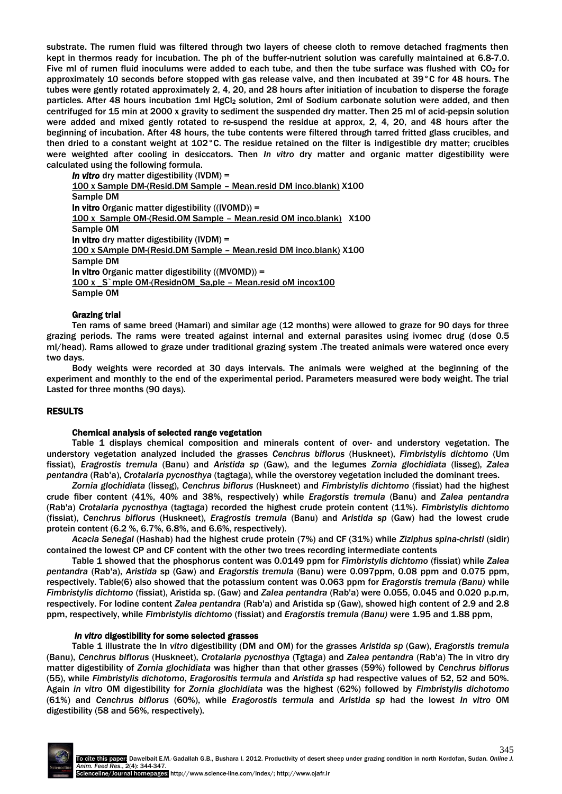substrate. The rumen fluid was filtered through two layers of cheese cloth to remove detached fragments then kept in thermos ready for incubation. The ph of the buffer-nutrient solution was carefully maintained at 6.8-7.0. Five ml of rumen fluid inoculums were added to each tube, and then the tube surface was flushed with CO<sub>2</sub> for approximately 10 seconds before stopped with gas release valve, and then incubated at 39°C for 48 hours. The tubes were gently rotated approximately 2, 4, 20, and 28 hours after initiation of incubation to disperse the forage particles. After 48 hours incubation 1ml HgCl<sub>2</sub> solution, 2ml of Sodium carbonate solution were added, and then centrifuged for 15 min at 2000 x gravity to sediment the suspended dry matter. Then 25 ml of acid-pepsin solution were added and mixed gently rotated to re-suspend the residue at approx, 2, 4, 20, and 48 hours after the beginning of incubation. After 48 hours, the tube contents were filtered through tarred fritted glass crucibles, and then dried to a constant weight at 102°C. The residue retained on the filter is indigestible dry matter; crucibles were weighted after cooling in desiccators. Then *In vitro* dry matter and organic matter digestibility were calculated using the following formula.

*In vitro* dry matter digestibility (IVDM) = 100 x Sample DM-(Resid.DM Sample – Mean.resid DM inco.blank) X100 Sample DM In vitro Organic matter digestibility ((IVOMD)) = 100 x Sample OM-(Resid.OM Sample – Mean.resid OM inco.blank) X100 Sample OM In vitro dry matter digestibility (IVDM) = 100 x SAmple DM-(Resid.DM Sample – Mean.resid DM inco.blank) X100 Sample DM In vitro Organic matter digestibility ((MVOMD)) = 100 x S`mple OM-(ResidnOM Sa,ple – Mean.resid oM incox100 Sample OM

### Grazing trial

Ten rams of same breed (Hamari) and similar age (12 months) were allowed to graze for 90 days for three grazing periods. The rams were treated against internal and external parasites using ivomec drug (dose 0.5 ml/head). Rams allowed to graze under traditional grazing system .The treated animals were watered once every two days.

Body weights were recorded at 30 days intervals. The animals were weighed at the beginning of the experiment and monthly to the end of the experimental period. Parameters measured were body weight. The trial Lasted for three months (90 days).

#### RESULTS

#### Chemical analysis of selected range vegetation

Table 1 displays chemical composition and minerals content of over- and understory vegetation. The understory vegetation analyzed included the grasses *Cenchrus biflorus* (Huskneet), *Fimbristylis dichtomo* (Um fissiat), *Eragrostis tremula* (Banu) and *Aristida sp* (Gaw), and the legumes *Zornia glochidiata* (lisseg), *Zalea pentandra* (Rab'a), *Crotalaria pycnosthya* (tagtaga), while the overstorey vegetation included the dominant trees.

*Zornia glochidiata* (lisseg), *Cenchrus biflorus* (Huskneet) and *Fimbristylis dichtomo* (fissiat) had the highest crude fiber content (41%, 40% and 38%, respectively) while *Eragorstis tremula* (Banu) and *Zalea pentandra* (Rab'a) *Crotalaria pycnosthya* (tagtaga) recorded the highest crude protein content (11%). *Fimbristylis dichtomo*  (fissiat), *Cenchrus biflorus* (Huskneet), *Eragrostis tremula* (Banu) and *Aristida sp* (Gaw) had the lowest crude protein content (6.2 %, 6.7%, 6.8%, and 6.6%, respectively).

*Acacia Senegal* (Hashab) had the highest crude protein (7%) and CF (31%) while *Ziziphus spina*-*christi* (sidir) contained the lowest CP and CF content with the other two trees recording intermediate contents

Table 1 showed that the phosphorus content was 0.0149 ppm for *Fimbristylis dichtomo* (fissiat) while *Zalea pentandra* (Rab'a), *Aristida* sp (Gaw) and *Eragorstis tremula* (Banu) were 0.097ppm, 0.08 ppm and 0.075 ppm, respectively. Table(6) also showed that the potassium content was 0.063 ppm for *Eragorstis tremula (Banu)* while *Fimbristylis dichtomo* (fissiat), Aristida sp. (Gaw) and *Zalea pentandra* (Rab'a) were 0.055, 0.045 and 0.020 p.p.m, respectively. For Iodine content *Zalea pentandra* (Rab'a) and Aristida sp (Gaw), showed high content of 2.9 and 2.8 ppm, respectively, while *Fimbristylis dichtomo* (fissiat) and *Eragorstis tremula (Banu)* were 1.95 and 1.88 ppm,

#### *In vitro* digestibility for some selected grasses

Table 1 illustrate the In *vitro* digestibility (DM and OM) for the grasses *Aristida sp* (Gaw), *Eragorstis tremula* (Banu), *Cenchrus biflorus* (Huskneet), *Crotalaria pycnosthya* (Tgtaga) and *Zalea pentandra* (Rab'a) The in vitro dry matter digestibility of *Zornia glochidiata* was higher than that other grasses (59%) followed by *Cenchrus biflorus* (55), while *Fimbristylis dichotomo*, *Eragorositis termula* and *Aristida sp* had respective values of 52, 52 and 50%. Again *in vitro* OM digestibility for *Zornia glochidiata* was the highest (62%) followed by *Fimbristylis dichotomo*  (61%) and *Cenchrus biflorus* (60%), while *Eragorostis termula* and *Aristida sp* had the lowest *In vitro* OM digestibility (58 and 56%, respectively).

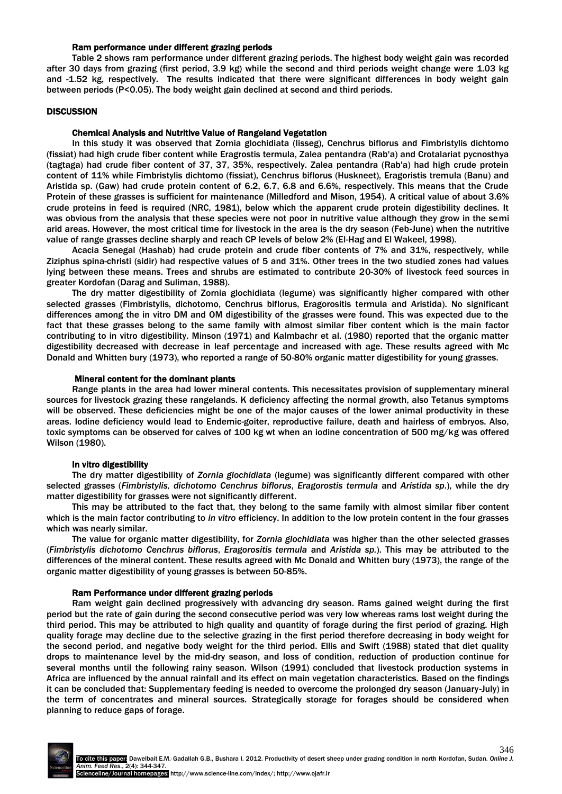#### Ram performance under different grazing periods

Table 2 shows ram performance under different grazing periods. The highest body weight gain was recorded after 30 days from grazing (first period, 3.9 kg) while the second and third periods weight change were 1.03 kg and -1.52 kg, respectively. The results indicated that there were significant differences in body weight gain between periods (P<0.05). The body weight gain declined at second and third periods.

#### **DISCUSSION**

### Chemical Analysis and Nutritive Value of Rangeland Vegetation

In this study it was observed that Zornia glochidiata (lisseg), Cenchrus biflorus and Fimbristylis dichtomo (fissiat) had high crude fiber content while Eragrostis termula, Zalea pentandra (Rab'a) and Crotalariat pycnosthya (tagtaga) had crude fiber content of 37, 37, 35%, respectively. Zalea pentandra (Rab'a) had high crude protein content of 11% while Fimbristylis dichtomo (fissiat), Cenchrus biflorus (Huskneet), Eragoristis tremula (Banu) and Aristida sp. (Gaw) had crude protein content of 6.2, 6.7, 6.8 and 6.6%, respectively. This means that the Crude Protein of these grasses is sufficient for maintenance (Milledford and Mison, 1954). A critical value of about 3.6% crude proteins in feed is required (NRC, 1981), below which the apparent crude protein digestibility declines. It was obvious from the analysis that these species were not poor in nutritive value although they grow in the semi arid areas. However, the most critical time for livestock in the area is the dry season (Feb-June) when the nutritive value of range grasses decline sharply and reach CP levels of below 2% (El-Hag and El Wakeel, 1998).

Acacia Senegal (Hashab) had crude protein and crude fiber contents of 7% and 31%, respectively, while Ziziphus spina-christi (sidir) had respective values of 5 and 31%. Other trees in the two studied zones had values lying between these means. Trees and shrubs are estimated to contribute 20-30% of livestock feed sources in greater Kordofan (Darag and Suliman, 1988).

The dry matter digestibility of Zornia glochidiata (legume) was significantly higher compared with other selected grasses (Fimbristylis, dichotomo, Cenchrus biflorus, Eragorositis termula and Aristida). No significant differences among the in vitro DM and OM digestibility of the grasses were found. This was expected due to the fact that these grasses belong to the same family with almost similar fiber content which is the main factor contributing to in vitro digestibility. Minson (1971) and Kalmbachr et al. (1980) reported that the organic matter digestibility decreased with decrease in leaf percentage and increased with age. These results agreed with Mc Donald and Whitten bury (1973), who reported a range of 50-80% organic matter digestibility for young grasses.

#### Mineral content for the dominant plants

Range plants in the area had lower mineral contents. This necessitates provision of supplementary mineral sources for livestock grazing these rangelands. K deficiency affecting the normal growth, also Tetanus symptoms will be observed. These deficiencies might be one of the major causes of the lower animal productivity in these areas. Iodine deficiency would lead to Endemic-goiter, reproductive failure, death and hairless of embryos. Also, toxic symptoms can be observed for calves of 100 kg wt when an iodine concentration of 500 mg/kg was offered Wilson (1980).

#### In vitro digestibility

The dry matter digestibility of *Zornia glochidiata* (legume) was significantly different compared with other selected grasses (*Fimbristylis, dichotomo Cenchrus biflorus*, *Eragorostis termula* and *Aristida sp*.), while the dry matter digestibility for grasses were not significantly different.

This may be attributed to the fact that, they belong to the same family with almost similar fiber content which is the main factor contributing to *in vitro* efficiency. In addition to the low protein content in the four grasses which was nearly similar.

The value for organic matter digestibility, for *Zornia glochidiata* was higher than the other selected grasses (*Fimbristylis dichotomo Cenchrus biflorus*, *Eragorositis termula* and *Aristida sp.*). This may be attributed to the differences of the mineral content. These results agreed with Mc Donald and Whitten bury (1973), the range of the organic matter digestibility of young grasses is between 50-85%.

#### Ram Performance under different grazing periods

Ram weight gain declined progressively with advancing dry season. Rams gained weight during the first period but the rate of gain during the second consecutive period was very low whereas rams lost weight during the third period. This may be attributed to high quality and quantity of forage during the first period of grazing. High quality forage may decline due to the selective grazing in the first period therefore decreasing in body weight for the second period, and negative body weight for the third period. Ellis and Swift (1988) stated that diet quality drops to maintenance level by the mid-dry season, and loss of condition, reduction of production continue for several months until the following rainy season. Wilson (1991) concluded that livestock production systems in Africa are influenced by the annual rainfall and its effect on main vegetation characteristics. Based on the findings it can be concluded that: Supplementary feeding is needed to overcome the prolonged dry season (January-July) in the term of concentrates and mineral sources. Strategically storage for forages should be considered when planning to reduce gaps of forage.